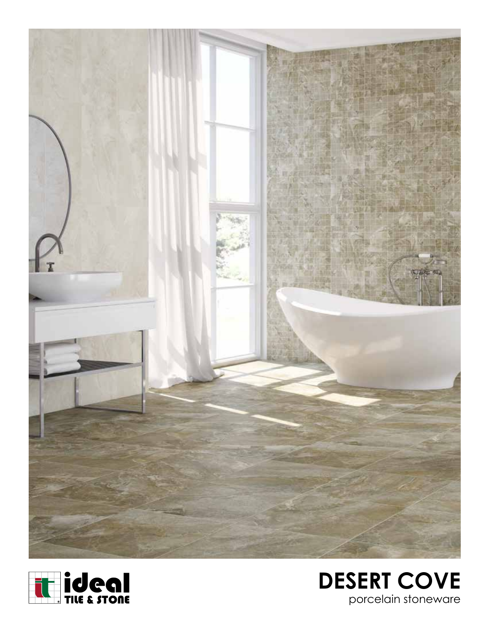



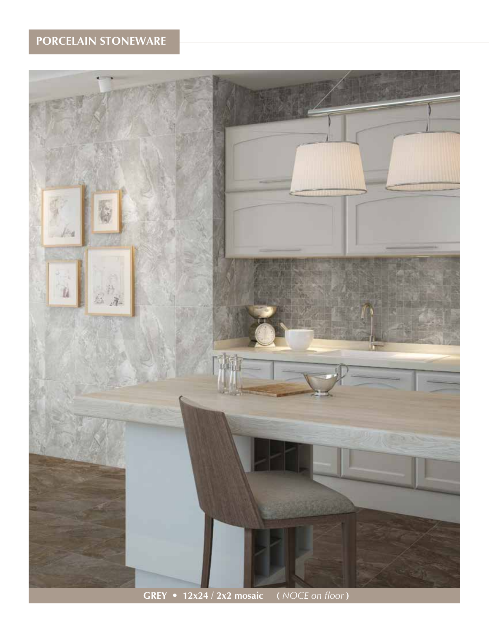

**GREY • 12x24 / 2x2 mosaic (** *NOCE on floor* **)**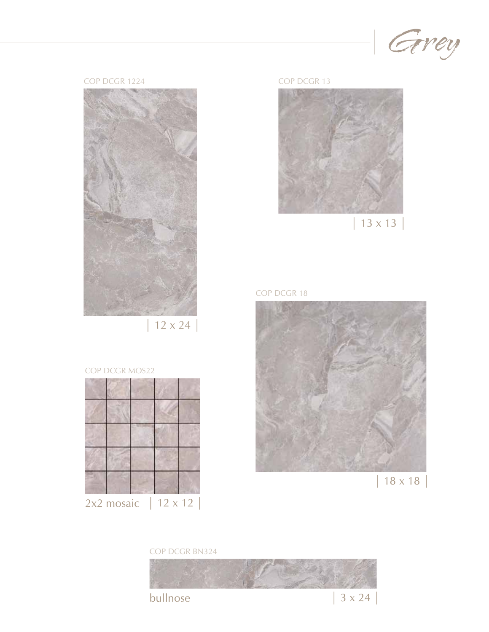



COP DCGR MOS22

 $|12 \times 24|$ 



COP DCGR 1224 COP DCGR 13



COP DCGR 18



Grey

| 18 x 18 |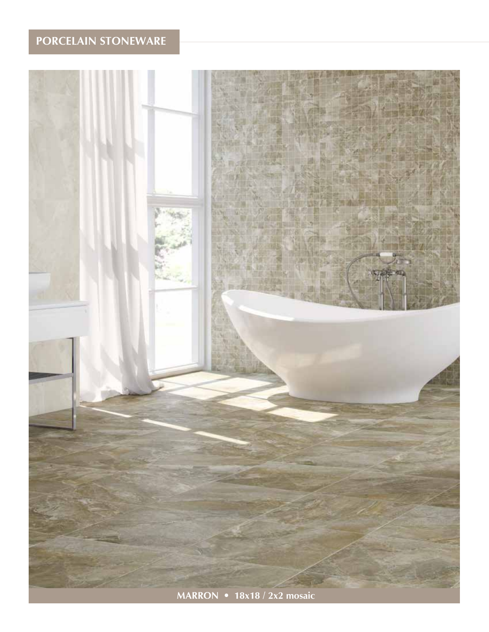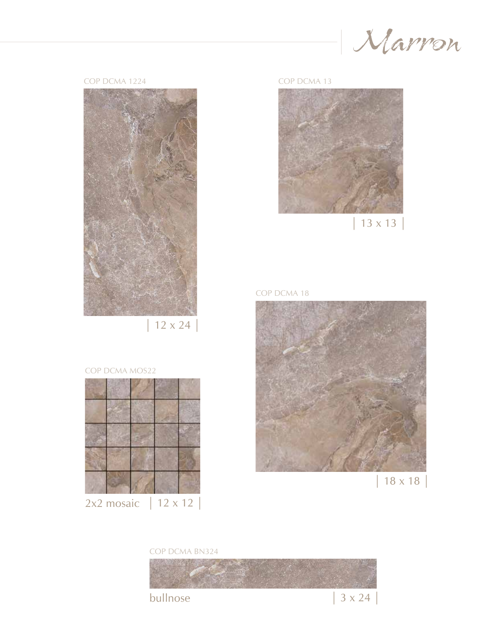



COP DCMA 1224 COP DCMA 13



| 13 x 13 |

COP DCMA 18



| 18 x 18 |

COP DCMA MOS22



2x2 mosaic | 12 x 12 |

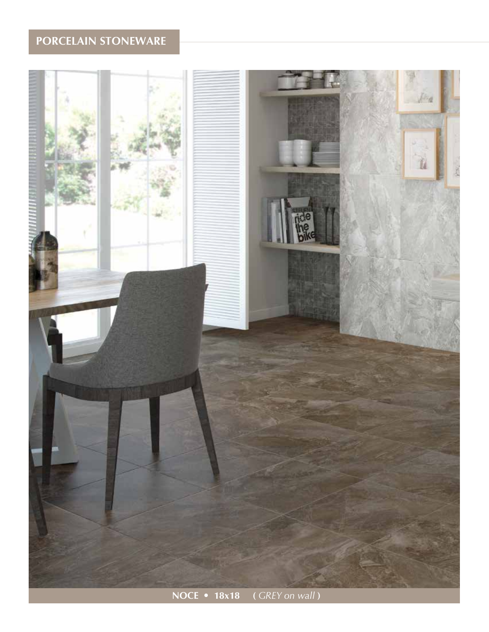

**NOCE • 18x18 (** *GREY on wall* **)**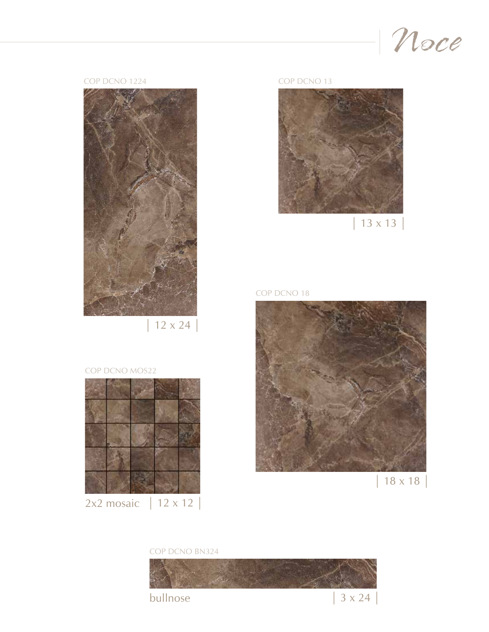

COP DCNO BN324



COP DCNO MOS22



 $12 \times 24$ 



COP DCNO 1224 COP DCNO 13

COP DCNO 18



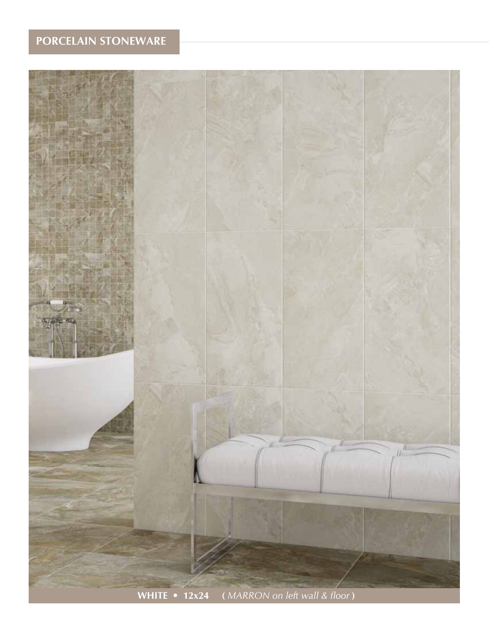

**WHITE • 12x24 (** *MARRON on left wall & floor* **)**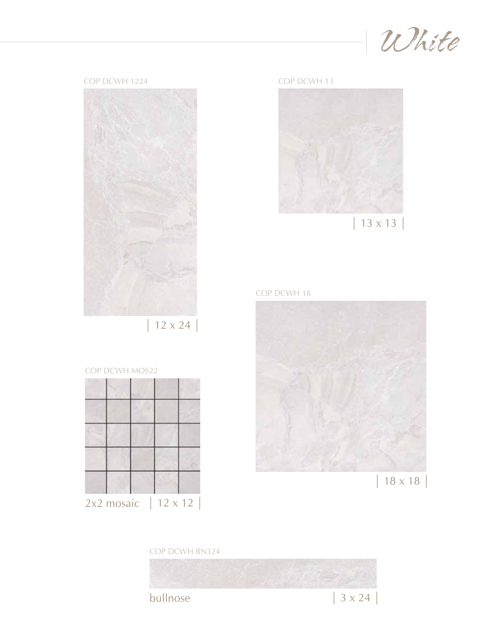





COP DCWH MOS22







| 18 x 18 |

COP DCWH 18



COP DCWH 1224 COP DCWH 13



White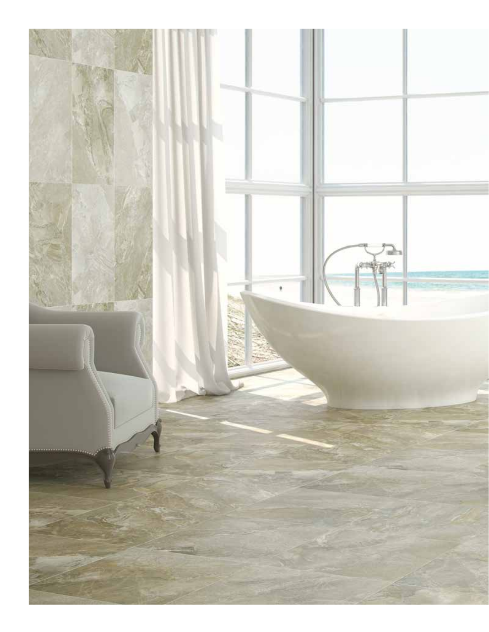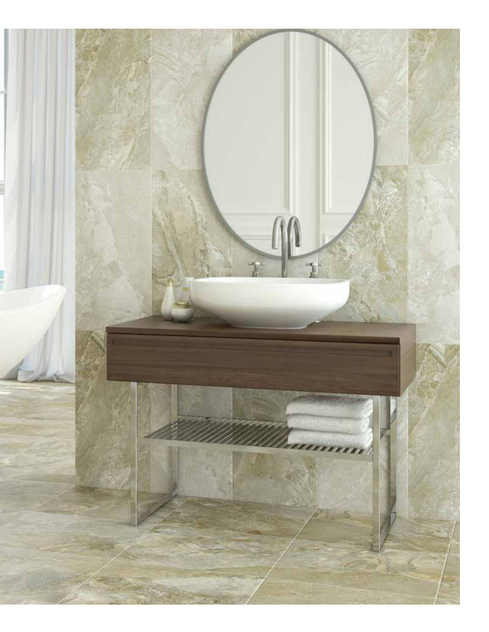